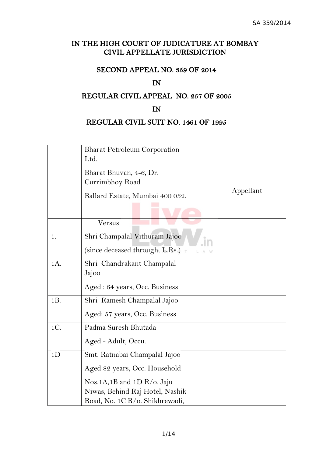# IN THE HIGH COURT OF JUDICATURE AT BOMBAY CIVIL APPELLATE JURISDICTION

# SECOND APPEAL NO. 359 OF 2014

## IN

# REGULAR CIVIL APPEAL NO. 257 OF 2005

## IN

# REGULAR CIVIL SUIT NO. 1461 OF 1995

|                | <b>Bharat Petroleum Corporation</b><br>Ltd.                            |           |
|----------------|------------------------------------------------------------------------|-----------|
|                | Bharat Bhuvan, 4-6, Dr.<br>Currimbhoy Road                             |           |
|                | Ballard Estate, Mumbai 400 032.                                        | Appellant |
|                | Versus                                                                 |           |
| 1.             | Shri Champalal Vithuram Jajoo<br>(since deceased through L.Rs.) $\tau$ |           |
| 1A.            | Shri Chandrakant Champalal<br>Jajoo                                    |           |
|                | Aged : 64 years, Occ. Business                                         |           |
| 1B.            | Shri Ramesh Champalal Jajoo                                            |           |
|                | Aged: 57 years, Occ. Business                                          |           |
| 1C.            | Padma Suresh Bhutada                                                   |           |
|                | Aged - Adult, Occu.                                                    |           |
| 1 <sub>D</sub> | Smt. Ratnabai Champalal Jajoo                                          |           |
|                | Aged 82 years, Occ. Household                                          |           |
|                | Nos.1A,1B and $1D R$ /o. Jaju                                          |           |
|                | Niwas, Behind Raj Hotel, Nashik                                        |           |
|                | Road, No. 1C R/o. Shikhrewadi,                                         |           |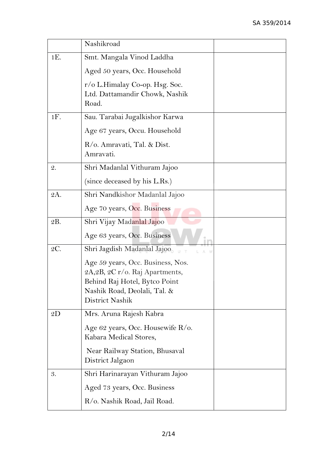|                 | Nashikroad                                                                                                                                               |  |
|-----------------|----------------------------------------------------------------------------------------------------------------------------------------------------------|--|
| $1E$ .          | Smt. Mangala Vinod Laddha                                                                                                                                |  |
|                 | Aged 50 years, Occ. Household                                                                                                                            |  |
|                 | r/o L.Himalay Co-op. Hsg. Soc.<br>Ltd. Dattamandir Chowk, Nashik<br>Road.                                                                                |  |
| $1F$ .          | Sau. Tarabai Jugalkishor Karwa                                                                                                                           |  |
|                 | Age 67 years, Occu. Household                                                                                                                            |  |
|                 | R/o. Amravati, Tal. & Dist.<br>Amravati.                                                                                                                 |  |
| $\mathcal{Q}$ . | Shri Madanlal Vithuram Jajoo                                                                                                                             |  |
|                 | (since deceased by his L.Rs.)                                                                                                                            |  |
| 2A.             | Shri Nandkishor Madanlal Jajoo                                                                                                                           |  |
|                 | Age 70 years, Occ. Business                                                                                                                              |  |
| 2B.             | Shri Vijay Madanlal Jajoo                                                                                                                                |  |
|                 | Age 63 years, Occ. Business                                                                                                                              |  |
| 2C.             | Shri Jagdish Madanlal Jajoo                                                                                                                              |  |
|                 | Age 59 years, Occ. Business, Nos.<br>2A, 2B, 2C r/o. Raj Apartments,<br>Behind Raj Hotel, Bytco Point<br>Nashik Road, Deolali, Tal. &<br>District Nashik |  |
| 2D              | Mrs. Aruna Rajesh Kabra                                                                                                                                  |  |
|                 | Age 62 years, Occ. Housewife R/o.<br>Kabara Medical Stores,                                                                                              |  |
|                 | Near Railway Station, Bhusaval<br>District Jalgaon                                                                                                       |  |
| 3.              | Shri Harinarayan Vithuram Jajoo                                                                                                                          |  |
|                 | Aged 73 years, Occ. Business                                                                                                                             |  |
|                 | R/o. Nashik Road, Jail Road.                                                                                                                             |  |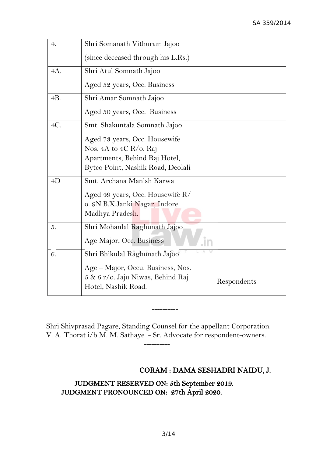| 4.  | Shri Somanath Vithuram Jajoo                                                                                                  |             |
|-----|-------------------------------------------------------------------------------------------------------------------------------|-------------|
|     | (since deceased through his L.Rs.)                                                                                            |             |
| 4A. | Shri Atul Somnath Jajoo                                                                                                       |             |
|     | Aged 52 years, Occ. Business                                                                                                  |             |
| 4B. | Shri Amar Somnath Jajoo                                                                                                       |             |
|     | Aged 50 years, Occ. Business                                                                                                  |             |
| 4C. | Smt. Shakuntala Somnath Jajoo                                                                                                 |             |
|     | Aged 73 years, Occ. Housewife<br>Nos. 4A to 4C R/o. Raj<br>Apartments, Behind Raj Hotel,<br>Bytco Point, Nashik Road, Deolali |             |
| 4D  | Smt. Archana Manish Karwa<br>Aged 49 years, Occ. Housewife R/<br>o. 9N.B.X.Janki Nagar, Indore<br>Madhya Pradesh.             |             |
| 5.  | Shri Mohanlal Raghunath Jajoo<br>Age Major, Occ. Business                                                                     |             |
| 6.  | Shri Bhikulal Raghunath Jajoo                                                                                                 |             |
|     | Age – Major, Occu. Business, Nos.<br>5 & 6 r/o. Jaju Niwas, Behind Raj<br>Hotel, Nashik Road.                                 | Respondents |

Shri Shivprasad Pagare, Standing Counsel for the appellant Corporation. V. A. Thorat i/b M. M. Sathaye - Sr. Advocate for respondent-owners.

----------

----------

# CORAM : DAMA SESHADRI NAIDU, J.

 JUDGMENT RESERVED ON: 5th September 2019. JUDGMENT PRONOUNCED ON: 27th April 2020.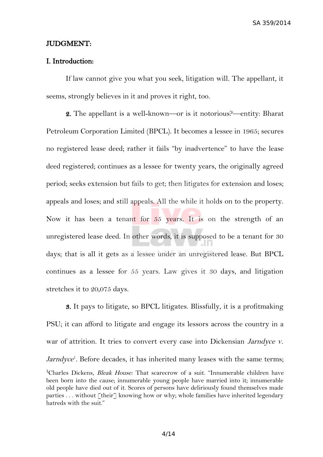SA 359/2014

### JUDGMENT:

### I. Introduction:

If law cannot give you what you seek, litigation will. The appellant, it seems, strongly believes in it and proves it right, too.

2. The appellant is a well-known—or is it notorious?—entity: Bharat Petroleum Corporation Limited (BPCL). It becomes a lessee in 1965; secures no registered lease deed; rather it fails "by inadvertence" to have the lease deed registered; continues as a lessee for twenty years, the originally agreed period; seeks extension but fails to get; then litigates for extension and loses; appeals and loses; and still appeals. All the while it holds on to the property. Now it has been a tenant for 55 years. It is on the strength of an unregistered lease deed. In other words, it is supposed to be a tenant for 30 days; that is all it gets as a lessee under an unregistered lease. But BPCL continues as a lessee for 55 years. Law gives it 30 days, and litigation stretches it to 20,075 days.

<span id="page-3-0"></span>3. It pays to litigate, so BPCL litigates. Blissfully, it is a profitmaking PSU; it can afford to litigate and engage its lessors across the country in a war of attrition. It tries to convert every case into Dickensian Jarndyce v. Jarndyce<sup>[1](#page-3-0)</sup>. Before decades, it has inherited many leases with the same terms; <sup>1</sup>Charles Dickens, *Bleak House:* That scarecrow of a suit. "Innumerable children have been born into the cause; innumerable young people have married into it; innumerable old people have died out of it. Scores of persons have deliriously found themselves made parties ... without [their] knowing how or why; whole families have inherited legendary hatreds with the suit."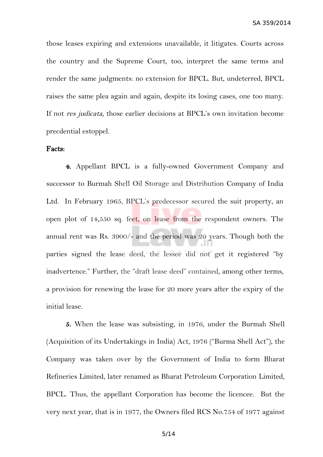those leases expiring and extensions unavailable, it litigates. Courts across the country and the Supreme Court, too, interpret the same terms and render the same judgments: no extension for BPCL. But, undeterred, BPCL raises the same plea again and again, despite its losing cases, one too many. If not res judicata, those earlier decisions at BPCL's own invitation become precdential estoppel.

### Facts:

4. Appellant BPCL is a fully-owned Government Company and successor to Burmah Shell Oil Storage and Distribution Company of India Ltd. In February 1965, BPCL's predecessor secured the suit property, an open plot of 14,550 sq. feet, on lease from the respondent owners. The annual rent was Rs. 3900/- and the period was 20 years. Though both the parties signed the lease deed, the lessee did not get it registered "by inadvertence." Further, the "draft lease deed" contained, among other terms, a provision for renewing the lease for 20 more years after the expiry of the initial lease.

5. When the lease was subsisting, in 1976, under the Burmah Shell (Acquisition of its Undertakings in India) Act, 1976 ("Burma Shell Act"), the Company was taken over by the Government of India to form Bharat Refineries Limited, later renamed as Bharat Petroleum Corporation Limited, BPCL. Thus, the appellant Corporation has become the licencee. But the very next year, that is in 1977, the Owners filed RCS No.754 of 1977 against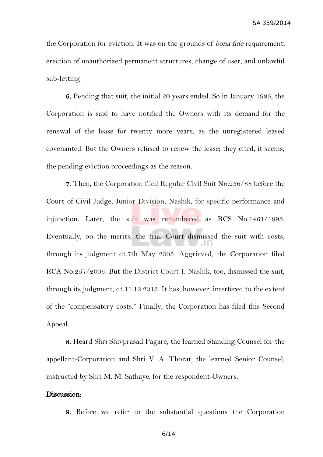the Corporation for eviction. It was on the grounds of *bona fide* requirement, erection of unauthorized permanent structures, change of user, and unlawful sub-letting.

6. Pending that suit, the initial 20 years ended. So in January 1985, the Corporation is said to have notified the Owners with its demand for the renewal of the lease for twenty more years, as the unregistered leased covenanted. But the Owners refused to renew the lease; they cited, it seems, the pending eviction proceedings as the reason.

7. Then, the Corporation filed Regular Civil Suit No.256/88 before the Court of Civil Judge, Junior Division, Nashik, for specific performance and injunction. Later, the suit was renumbered as RCS No.1461/1995. Eventually, on the merits, the trial Court dismissed the suit with costs, through its judgment dt.7th May 2005. Aggrieved, the Corporation filed RCA No.257/2005. But the District Court-I, Nashik, too, dismissed the suit, through its judgment, dt.11.12.2013. It has, however, interfered to the extent of the "compensatory costs." Finally, the Corporation has filed this Second Appeal.

8. Heard Shri Shivprasad Pagare, the learned Standing Counsel for the appellant-Corporation and Shri V. A. Thorat, the learned Senior Counsel, instructed by Shri M. M. Sathaye, for the respondent-Owners.

### Discussion:

9. Before we refer to the substantial questions the Corporation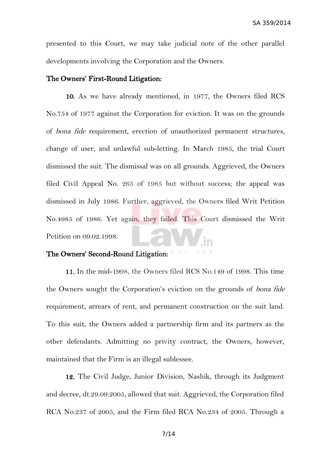presented to this Court, we may take judicial note of the other parallel developments involving the Corporation and the Owners.

### The Owners' First-Round Litigation:

10. As we have already mentioned, in 1977, the Owners filed RCS No.754 of 1977 against the Corporation for eviction. It was on the grounds of bona fide requirement, erection of unauthorized permanent structures, change of user, and unlawful sub-letting. In March 1985, the trial Court dismissed the suit. The dismissal was on all grounds. Aggrieved, the Owners filed Civil Appeal No. 265 of 1985 but without success; the appeal was dismissed in July 1986. Further, aggrieved, the Owners filed Writ Petition No.4985 of 1986. Yet again, they failed. This Court dismissed the Writ Petition on 09.02.1998.

# The Owners' Second-Round Litigation:

11. In the mid-1998, the Owners filed RCS No.149 of 1998. This time the Owners sought the Corporation's eviction on the grounds of bona fide requirement, arrears of rent, and permanent construction on the suit land. To this suit, the Owners added a partnership firm and its partners as the other defendants. Admitting no privity contract, the Owners, however, maintained that the Firm is an illegal sublessee.

12. The Civil Judge, Junior Division, Nashik, through its Judgment and decree, dt.29.09.2005, allowed that suit. Aggrieved, the Corporation filed RCA No.237 of 2005, and the Firm filed RCA No.234 of 2005. Through a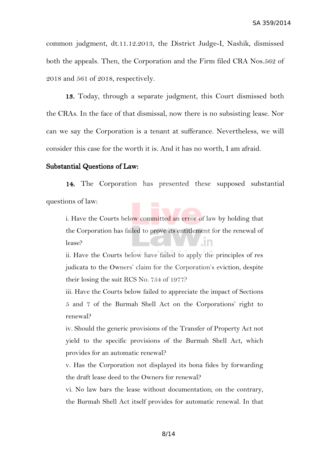common judgment, dt.11.12.2013, the District Judge-I, Nashik, dismissed both the appeals. Then, the Corporation and the Firm filed CRA Nos.562 of 2018 and 561 of 2018, respectively.

13. Today, through a separate judgment, this Court dismissed both the CRAs. In the face of that dismissal, now there is no subsisting lease. Nor can we say the Corporation is a tenant at sufferance. Nevertheless, we will consider this case for the worth it is. And it has no worth, I am afraid.

#### Substantial Questions of Law:

14. The Corporation has presented these supposed substantial questions of law:

i. Have the Courts below committed an error of law by holding that the Corporation has failed to prove its entitlement for the renewal of In lease?

ii. Have the Courts below have failed to apply the principles of res judicata to the Owners' claim for the Corporation's eviction, despite their losing the suit RCS No. 754 of 1977?

iii. Have the Courts below failed to appreciate the impact of Sections 5 and 7 of the Burmah Shell Act on the Corporations' right to renewal?

iv. Should the generic provisions of the Transfer of Property Act not yield to the specific provisions of the Burmah Shell Act, which provides for an automatic renewal?

v. Has the Corporation not displayed its bona fides by forwarding the draft lease deed to the Owners for renewal?

vi. No law bars the lease without documentation; on the contrary, the Burmah Shell Act itself provides for automatic renewal. In that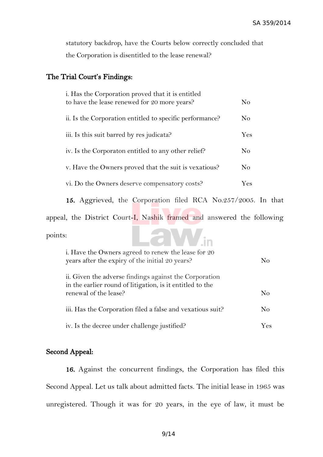statutory backdrop, have the Courts below correctly concluded that the Corporation is disentitled to the lease renewal?

## The Trial Court's Findings:

| i. Has the Corporation proved that it is entitled<br>to have the lease renewed for 20 more years? | No             |
|---------------------------------------------------------------------------------------------------|----------------|
| ii. Is the Corporation entitled to specific performance?                                          | No             |
| iii. Is this suit barred by res judicata?                                                         | Yes            |
| iv. Is the Corporaton entitled to any other relief?                                               | N <sub>0</sub> |
| v. Have the Owners proved that the suit is vexatious?                                             | N <sub>0</sub> |
| vi. Do the Owners deserve compensatory costs?                                                     | Yes            |

15. Aggrieved, the Corporation filed RCA No.257/2005. In that

aW.in

appeal, the District Court-I, Nashik framed and answered the following

points:

| i. Have the Owners agreed to renew the lease for 20<br>years after the expiry of the initial 20 years?                                       | $\rm No$ |
|----------------------------------------------------------------------------------------------------------------------------------------------|----------|
| ii. Given the adverse findings against the Corporation<br>in the earlier round of litigation, is it entitled to the<br>renewal of the lease? | No       |
| iii. Has the Corporation filed a false and vexatious suit?                                                                                   | No       |
| iv. Is the decree under challenge justified?                                                                                                 | Yes.     |

## Second Appeal:

16. Against the concurrent findings, the Corporation has filed this Second Appeal. Let us talk about admitted facts. The initial lease in 1965 was unregistered. Though it was for 20 years, in the eye of law, it must be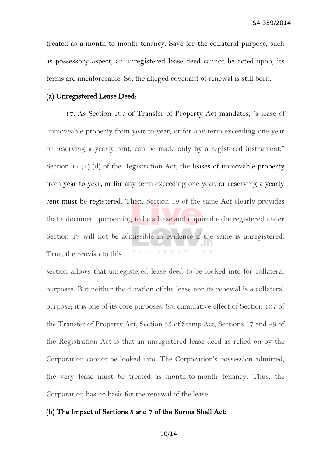treated as a month-to-month tenancy. Save for the collateral purpose, such as possessory aspect, an unregistered lease deed cannot be acted upon; its terms are unenforceable. So, the alleged covenant of renewal is still born.

### (a) Unregistered Lease Deed:

17. As Section 107 of Transfer of Property Act mandates, "a lease of immoveable property from year to year, or for any term exceeding one year or reserving a yearly rent, can be made only by a registered instrument." Section 17 (1) (d) of the Registration Act, the leases of immovable property from year to year, or for any term exceeding one year, or reserving a yearly rent must be registered. Then, Section 49 of the same Act clearly provides that a document purporting to be a lease and required to be registered under Section 17 will not be admissible in evidence if the same is unregistered. A L L A B O U T True, the proviso to this

section allows that unregistered lease deed to be looked into for collateral purposes. But neither the duration of the lease nor its renewal is a collateral purpose; it is one of its core purposes. So, cumulative effect of Section 107 of the Transfer of Property Act, Section 35 of Stamp Act, Sections 17 and 49 of the Registration Act is that an unregistered lease deed as relied on by the Corporation cannot be looked into. The Corporation's possession admitted, the very lease must be treated as month-to-month tenancy. Thus, the Corporation has no basis for the renewal of the lease.

### (b) The Impact of Sections 5 and 7 of the Burma Shell Act: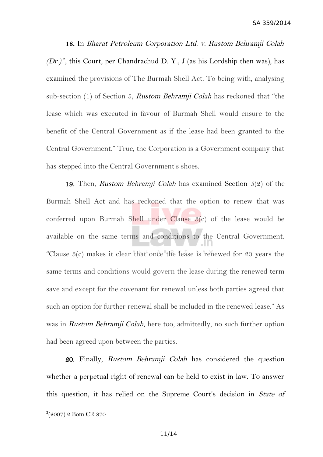18. In Bharat Petroleum Corporation Ltd. v. Rustom Behramji Colah  $(Dr.)<sup>2</sup>$  $(Dr.)<sup>2</sup>$  $(Dr.)<sup>2</sup>$ , this Court, per Chandrachud D. Y., J (as his Lordship then was), has examined the provisions of The Burmah Shell Act. To being with, analysing sub-section (1) of Section 5, Rustom Behramji Colah has reckoned that "the lease which was executed in favour of Burmah Shell would ensure to the benefit of the Central Government as if the lease had been granted to the Central Government." True, the Corporation is a Government company that has stepped into the Central Government's shoes.

19. Then, Rustom Behramji Colah has examined Section 5(2) of the Burmah Shell Act and has reckoned that the option to renew that was conferred upon Burmah Shell under Clause  $3(c)$  of the lease would be available on the same terms and conditions to the Central Government. "Clause 3(c) makes it clear that once the lease is renewed for 20 years the same terms and conditions would govern the lease during the renewed term save and except for the covenant for renewal unless both parties agreed that such an option for further renewal shall be included in the renewed lease." As was in Rustom Behramji Colah, here too, admittedly, no such further option had been agreed upon between the parties.

<span id="page-10-0"></span>20. Finally, Rustom Behramji Colah has considered the question whether a perpetual right of renewal can be held to exist in law. To answer this question, it has relied on the Supreme Court's decision in State of 2 (2007) 2 Bom CR 870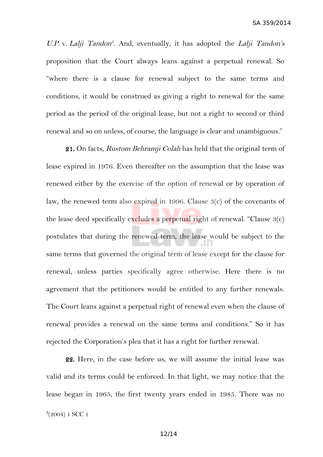U.P. v. Lalji Tandon<sup>[3](#page-11-0)</sup>. And, eventually, it has adopted the Lalji Tandon's proposition that the Court always leans against a perpetual renewal. So "where there is a clause for renewal subject to the same terms and conditions, it would be construed as giving a right to renewal for the same period as the period of the original lease, but not a right to second or third renewal and so on unless, of course, the language is clear and unambiguous."

21. On facts, Rustom Behramji Colah has held that the original term of lease expired in 1976. Even thereafter on the assumption that the lease was renewed either by the exercise of the option of renewal or by operation of law, the renewed term also expired in 1996. Clause 3(c) of the covenants of the lease deed specifically excludes a perpetual right of renewal. "Clause  $3(c)$ postulates that during the renewed term, the lease would be subject to the same terms that governed the original term of lease except for the clause for renewal, unless parties specifically agree otherwise. Here there is no agreement that the petitioners would be entitled to any further renewals. The Court leans against a perpetual right of renewal even when the clause of renewal provides a renewal on the same terms and conditions." So it has rejected the Corporation's plea that it has a right for further renewal.

<span id="page-11-0"></span>22. Here, in the case before us, we will assume the initial lease was valid and its terms could be enforced. In that light, we may notice that the lease began in 1965, the first twenty years ended in 1985. There was no 3 (2004) 1 SCC 1

12/14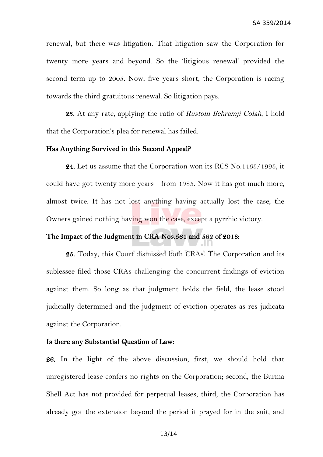renewal, but there was litigation. That litigation saw the Corporation for twenty more years and beyond. So the 'litigious renewal' provided the second term up to 2005. Now, five years short, the Corporation is racing towards the third gratuitous renewal. So litigation pays.

23. At any rate, applying the ratio of Rustom Behramji Colah, I hold that the Corporation's plea for renewal has failed.

### Has Anything Survived in this Second Appeal?

24. Let us assume that the Corporation won its RCS No.1465/1995, it could have got twenty more years—from 1985. Now it has got much more, almost twice. It has not lost anything having actually lost the case; the Owners gained nothing having won the case, except a pyrrhic victory.

## The Impact of the Judgment in CRA Nos.561 and 562 of 2018:

25. Today, this Court dismissed both CRAs. The Corporation and its sublessee filed those CRAs challenging the concurrent findings of eviction against them. So long as that judgment holds the field, the lease stood judicially determined and the judgment of eviction operates as res judicata against the Corporation.

### Is there any Substantial Question of Law:

26. In the light of the above discussion, first, we should hold that unregistered lease confers no rights on the Corporation; second, the Burma Shell Act has not provided for perpetual leases; third, the Corporation has already got the extension beyond the period it prayed for in the suit, and